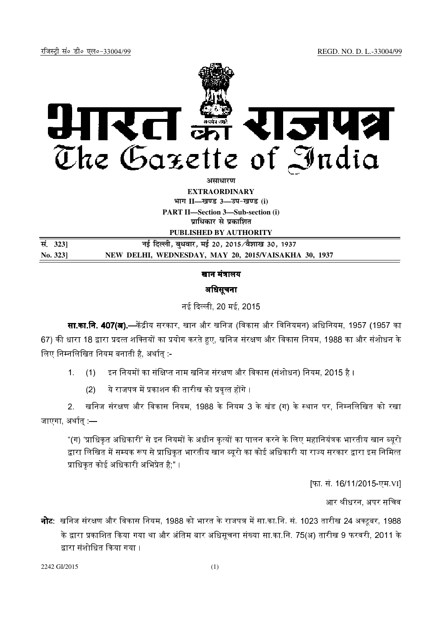रजिस्ट्री सं० डी० एल०-33004/99 *REGD.* NO. D. L.-33004/99



**असाधारण** 

**EXTRAORDINARY**  $4$ **HI<sup>T</sup> II—<br>***E***US** 3—34-खण्ड (i)

**PART II—Section 3—Sub-section (i) प्राधिकार से प्रकाशित** 

**PUBLISHED BY AUTHORITY**

| सं. 3231 | नई दिल्ली, बुधवार, मई 20, 2015 ∕वैशाख 30, 1937       |
|----------|------------------------------------------------------|
| No. 3231 | NEW DELHI, WEDNESDAY, MAY 20, 2015/VAISAKHA 30, 1937 |

खान मंत्रालय

## अिधसूचना

नई दिल्ली, 20 मई, 2015

**सा.का.नि. 407(अ).—**केंद्रीय सरकार, खान और खनिज (विकास और विनियमन) अधिनियम, 1957 (1957 का 67) की धारा 18 द्वारा प्रदत्त शक्तियों का प्रयोग करते हुए, खनिज संरक्षण और विकास नियम, 1988 का और संशोधन के लिए निम्नलिखित नियम बनाती है, अर्थातु :-

1. (1) द्विन नियमों का संक्षिप्त नाम खनिज संरक्षण और विकास (संशोधन) नियम, 2015 है ।

(2) !/0' &123

2. खनिज संरक्षण और विकास नियम, 1988 के नियम 3 के खंड (ग) के स्थान पर, निम्नलिखित को रखा जाएगा, अर्थात $-$ 

"(ग) 'प्राधिकृत अधिकारी' से इन नियमों के अधीन कृत्यों का पालन करने के लिए महानियंत्रक भारतीय खान ब्युरो द्वारा लिखित में सम्यक रूप से प्राधिकत भारतीय खान ब्यरो का कोई अधिकारी या राज्य सरकार द्वारा इस निमित्त प्राधिकत कोई अधिकारी अभिप्रेत है." ।

[फा. सं. 16/11/2015-एम.VI]

आर श्रीधरन, अपर सचिव

**नोट**: खनिज संरक्षण और विकास नियम, 1988 को भारत के राजपत्र में सा.का.नि. सं. 1023 तारीख 24 अक्टबर, 1988 के द्वारा प्रकाशित किया गया था और अंतिम बार अधिसचना संख्या सा का नि. 75(अ) तारीख 9 फरवरी, 2011 के द्वारा संशोधित किया गया ।

2242 GI/2015 (1)